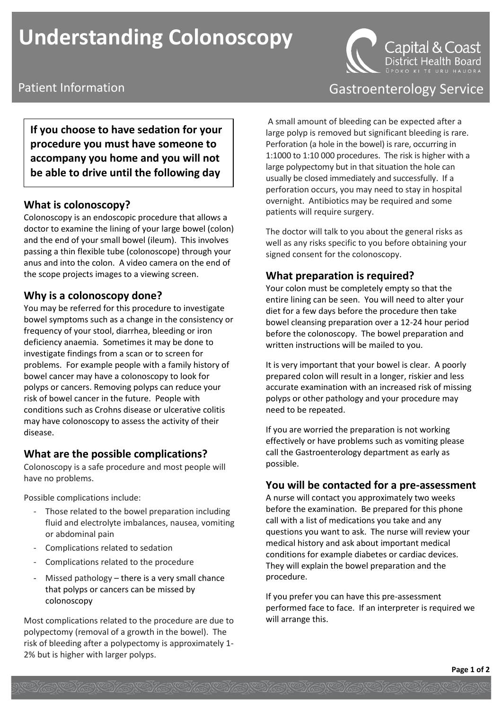# **Understanding Colonoscopy**



**If you choose to have sedation for your procedure you must have someone to accompany you home and you will not be able to drive until the following day** 

#### **What is colonoscopy?**

Colonoscopy is an endoscopic procedure that allows a doctor to examine the lining of your large bowel (colon) and the end of your small bowel (ileum). This involves passing a thin flexible tube (colonoscope) through your anus and into the colon. A video camera on the end of the scope projects images to a viewing screen.

#### **Why is a colonoscopy done?**

You may be referred for this procedure to investigate bowel symptoms such as a change in the consistency or frequency of your stool, diarrhea, bleeding or iron deficiency anaemia. Sometimes it may be done to investigate findings from a scan or to screen for problems. For example people with a family history of bowel cancer may have a colonoscopy to look for polyps or cancers. Removing polyps can reduce your risk of bowel cancer in the future. People with conditions such as Crohns disease or ulcerative colitis may have colonoscopy to assess the activity of their disease.

#### **What are the possible complications?**

Colonoscopy is a safe procedure and most people will have no problems.

Possible complications include:

- Those related to the bowel preparation including fluid and electrolyte imbalances, nausea, vomiting or abdominal pain
- Complications related to sedation
- Complications related to the procedure
- Missed pathology  $-$  there is a very small chance that polyps or cancers can be missed by colonoscopy

Most complications related to the procedure are due to polypectomy (removal of a growth in the bowel). The risk of bleeding after a polypectomy is approximately 1- 2% but is higher with larger polyps.

## Patient Information **Figure 2018** Castroenterology Service

A small amount of bleeding can be expected after a large polyp is removed but significant bleeding is rare. Perforation (a hole in the bowel) is rare, occurring in 1:1000 to 1:10 000 procedures. The risk is higher with a large polypectomy but in that situation the hole can usually be closed immediately and successfully. If a perforation occurs, you may need to stay in hospital overnight. Antibiotics may be required and some patients will require surgery.

The doctor will talk to you about the general risks as well as any risks specific to you before obtaining your signed consent for the colonoscopy.

#### **What preparation is required?**

Your colon must be completely empty so that the entire lining can be seen. You will need to alter your diet for a few days before the procedure then take bowel cleansing preparation over a 12-24 hour period before the colonoscopy. The bowel preparation and written instructions will be mailed to you.

It is very important that your bowel is clear. A poorly prepared colon will result in a longer, riskier and less accurate examination with an increased risk of missing polyps or other pathology and your procedure may need to be repeated.

If you are worried the preparation is not working effectively or have problems such as vomiting please call the Gastroenterology department as early as possible.

#### **You will be contacted for a pre-assessment**

A nurse will contact you approximately two weeks before the examination. Be prepared for this phone call with a list of medications you take and any questions you want to ask. The nurse will review your medical history and ask about important medical conditions for example diabetes or cardiac devices. They will explain the bowel preparation and the procedure.

If you prefer you can have this pre-assessment performed face to face. If an interpreter is required we will arrange this.